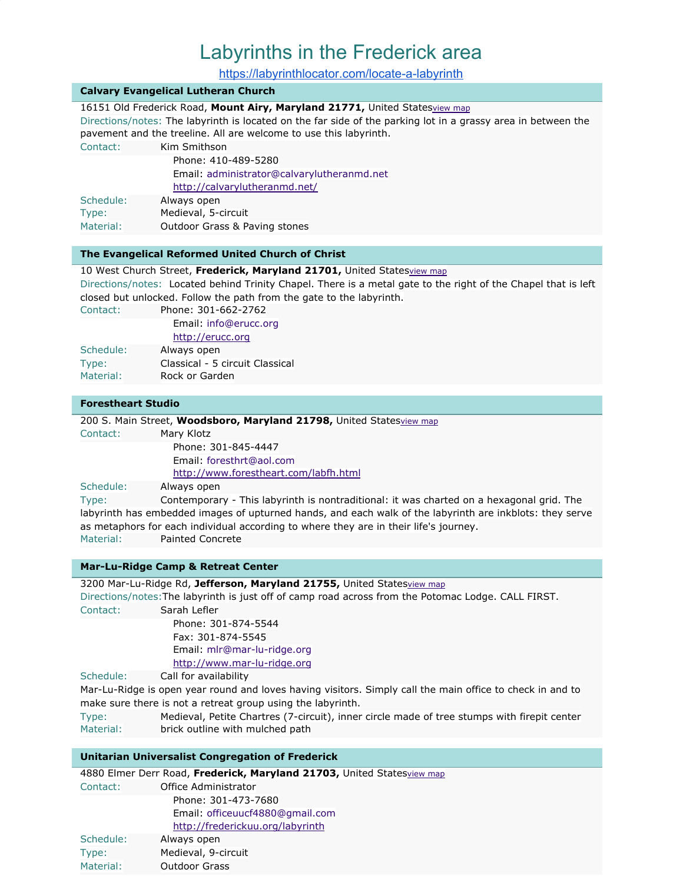# Labyrinths in the Frederick area

<https://labyrinthlocator.com/locate-a-labyrinth>

## **Calvary Evangelical Lutheran Church**

16151 Old Frederick Road, Mount Airy, Maryland 21771, United States[view](http://maps.google.com/maps?q=16151+Old+Frederick+Road+Mount+Airy%2C+Maryland+21771+United+States) map

Directions/notes: The labyrinth is located on the far side of the parking lot in a grassy area in between the pavement and the treeline. All are welcome to use this labyrinth.

Contact: Kim Smithson

|           | Phone: 410-489-5280                        |
|-----------|--------------------------------------------|
|           | Email: administrator@calvarylutheranmd.net |
|           | http://calvarylutheranmd.net/              |
| Schedule: | Always open                                |
| Type:     | Medieval, 5-circuit                        |
| Material: | Outdoor Grass & Paving stones              |

#### **The Evangelical Reformed United Church of Christ**

### 10 West Church Street, **Frederick, Maryland 21701,** United States[view](http://maps.google.com/maps?q=10+West+Church+Street+Frederick%2C+Maryland+21701+United+States) map

Directions/notes: Located behind Trinity Chapel. There is a metal gate to the right of the Chapel that is left closed but unlocked. Follow the path from the gate to the labyrinth.

Contact: Phone: 301-662-2762

|           | Email: info@erucc.org |
|-----------|-----------------------|
|           | http://erucc.org      |
| Schedule: | Always open           |

| Type:     | Classical - 5 circuit Classical |
|-----------|---------------------------------|
| Material: | Rock or Garden                  |

## **Forestheart Studio**

200 S. Main Street, **Woodsboro, Maryland 21798,** United States[view](http://maps.google.com/maps?q=200+S.+Main+Street+Woodsboro%2C+Maryland+21798+United+States) map Contact: Mary Klotz Phone: 301-845-4447 Email: foresthrt@aol.com <http://www.forestheart.com/labfh.html> Schedule: Always open Type: Contemporary - This labyrinth is nontraditional: it was charted on a hexagonal grid. The labyrinth has embedded images of upturned hands, and each walk of the labyrinth are inkblots: they serve as metaphors for each individual according to where they are in their life's journey. Material: Painted Concrete

**Mar-Lu-Ridge Camp & Retreat Center**

3200 Mar-Lu-Ridge Rd, **Jefferson, Maryland 21755,** United States[view](http://maps.google.com/maps?q=3200+Mar-Lu-Ridge+Rd+Jefferson%2C+Maryland+21755+United+States) map Directions/notes:The labyrinth is just off of camp road across from the Potomac Lodge. CALL FIRST. Contact: Sarah Lefler Phone: 301-874-5544 Fax: 301-874-5545 Email: mlr@mar-lu-ridge.org [http://www.mar-lu-ridge.org](http://www.mar-lu-ridge.org/) Schedule: Call for availability Mar-Lu-Ridge is open year round and loves having visitors. Simply call the main office to check in and to

make sure there is not a retreat group using the labyrinth.

Type: Medieval, Petite Chartres (7-circuit), inner circle made of tree stumps with firepit center Material: brick outline with mulched path

### **Unitarian Universalist Congregation of Frederick**

|           | 4880 Elmer Derr Road, Frederick, Maryland 21703, United Statesview map |
|-----------|------------------------------------------------------------------------|
| Contact:  | Office Administrator                                                   |
|           | Phone: 301-473-7680                                                    |
|           | Email: officeuucf4880@gmail.com                                        |
|           | http://frederickuu.org/labyrinth                                       |
| Schedule: | Always open                                                            |
| Type:     | Medieval, 9-circuit                                                    |
| Material: | <b>Outdoor Grass</b>                                                   |
|           |                                                                        |